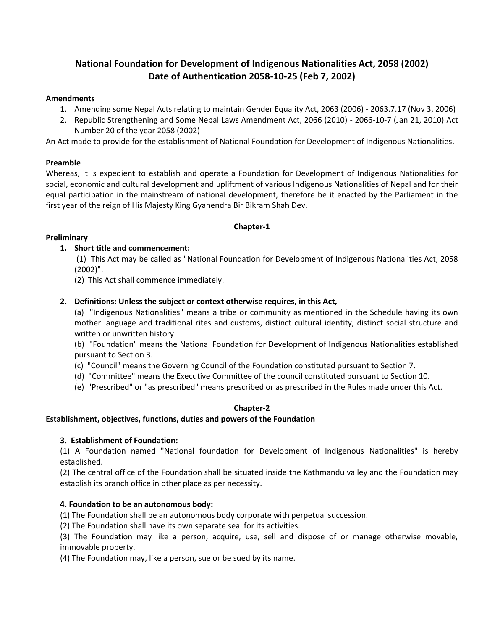# **National Foundation for Development of Indigenous Nationalities Act, 2058 (2002) Date of Authentication 2058-10-25 (Feb 7, 2002)**

## **Amendments**

- 1. Amending some Nepal Acts relating to maintain Gender Equality Act, 2063 (2006) 2063.7.17 (Nov 3, 2006)
- 2. Republic Strengthening and Some Nepal Laws Amendment Act, 2066 (2010) 2066-10-7 (Jan 21, 2010) Act Number 20 of the year 2058 (2002)

An Act made to provide for the establishment of National Foundation for Development of Indigenous Nationalities.

## **Preamble**

Whereas, it is expedient to establish and operate a Foundation for Development of Indigenous Nationalities for social, economic and cultural development and upliftment of various Indigenous Nationalities of Nepal and for their equal participation in the mainstream of national development, therefore be it enacted by the Parliament in the first year of the reign of His Majesty King Gyanendra Bir Bikram Shah Dev.

## **Chapter-1**

## **Preliminary**

## **1. Short title and commencement:**

(1) This Act may be called as "National Foundation for Development of Indigenous Nationalities Act, 2058 (2002)".

(2) This Act shall commence immediately.

## **2. Definitions: Unless the subject or context otherwise requires, in this Act,**

(a) "Indigenous Nationalities" means a tribe or community as mentioned in the Schedule having its own mother language and traditional rites and customs, distinct cultural identity, distinct social structure and written or unwritten history.

(b) "Foundation" means the National Foundation for Development of Indigenous Nationalities established pursuant to Section 3.

- (c) "Council" means the Governing Council of the Foundation constituted pursuant to Section 7.
- (d) "Committee" means the Executive Committee of the council constituted pursuant to Section 10.
- (e) "Prescribed" or "as prescribed" means prescribed or as prescribed in the Rules made under this Act.

## **Chapter-2**

## **Establishment, objectives, functions, duties and powers of the Foundation**

## **3. Establishment of Foundation:**

(1) A Foundation named "National foundation for Development of Indigenous Nationalities" is hereby established.

(2) The central office of the Foundation shall be situated inside the Kathmandu valley and the Foundation may establish its branch office in other place as per necessity.

## **4. Foundation to be an autonomous body:**

(1) The Foundation shall be an autonomous body corporate with perpetual succession.

(2) The Foundation shall have its own separate seal for its activities.

(3) The Foundation may like a person, acquire, use, sell and dispose of or manage otherwise movable, immovable property.

(4) The Foundation may, like a person, sue or be sued by its name.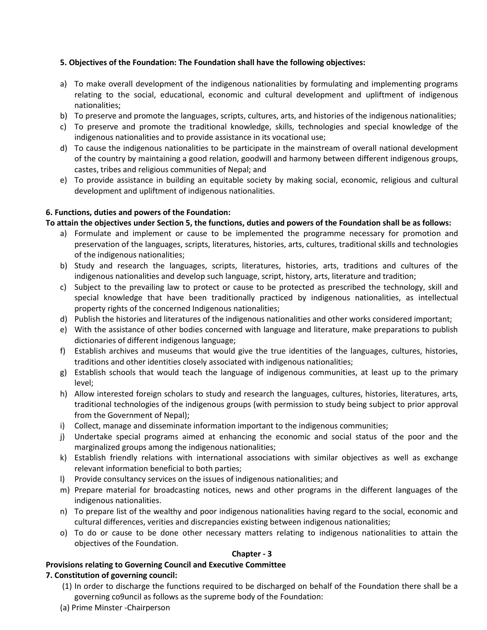## **5. Objectives of the Foundation: The Foundation shall have the following objectives:**

- a) To make overall development of the indigenous nationalities by formulating and implementing programs relating to the social, educational, economic and cultural development and upliftment of indigenous nationalities;
- b) To preserve and promote the languages, scripts, cultures, arts, and histories of the indigenous nationalities;
- c) To preserve and promote the traditional knowledge, skills, technologies and special knowledge of the indigenous nationalities and to provide assistance in its vocational use;
- d) To cause the indigenous nationalities to be participate in the mainstream of overall national development of the country by maintaining a good relation, goodwill and harmony between different indigenous groups, castes, tribes and religious communities of Nepal; and
- e) To provide assistance in building an equitable society by making social, economic, religious and cultural development and upliftment of indigenous nationalities.

## **6. Functions, duties and powers of the Foundation:**

**To attain the objectives under Section 5, the functions, duties and powers of the Foundation shall be as follows:**

- a) Formulate and implement or cause to be implemented the programme necessary for promotion and preservation of the languages, scripts, literatures, histories, arts, cultures, traditional skills and technologies of the indigenous nationalities;
- b) Study and research the languages, scripts, literatures, histories, arts, traditions and cultures of the indigenous nationalities and develop such language, script, history, arts, literature and tradition;
- c) Subject to the prevailing law to protect or cause to be protected as prescribed the technology, skill and special knowledge that have been traditionally practiced by indigenous nationalities, as intellectual property rights of the concerned Indigenous nationalities;
- d) Publish the histories and literatures of the indigenous nationalities and other works considered important;
- e) With the assistance of other bodies concerned with language and literature, make preparations to publish dictionaries of different indigenous language;
- f) Establish archives and museums that would give the true identities of the languages, cultures, histories, traditions and other identities closely associated with indigenous nationalities;
- g) Establish schools that would teach the language of indigenous communities, at least up to the primary level;
- h) Allow interested foreign scholars to study and research the languages, cultures, histories, literatures, arts, traditional technologies of the indigenous groups (with permission to study being subject to prior approval from the Government of Nepal);
- i) Collect, manage and disseminate information important to the indigenous communities;
- j) Undertake special programs aimed at enhancing the economic and social status of the poor and the marginalized groups among the indigenous nationalities;
- k) Establish friendly relations with international associations with similar objectives as well as exchange relevant information beneficial to both parties;
- l) Provide consultancy services on the issues of indigenous nationalities; and
- m) Prepare material for broadcasting notices, news and other programs in the different languages of the indigenous nationalities.
- n) To prepare list of the wealthy and poor indigenous nationalities having regard to the social, economic and cultural differences, verities and discrepancies existing between indigenous nationalities;
- o) To do or cause to be done other necessary matters relating to indigenous nationalities to attain the objectives of the Foundation.

## **Chapter - 3**

## **Provisions relating to Governing Council and Executive Committee**

## **7. Constitution of governing council:**

- (1) In order to discharge the functions required to be discharged on behalf of the Foundation there shall be a governing co9uncil as follows as the supreme body of the Foundation:
- (a) Prime Minster -Chairperson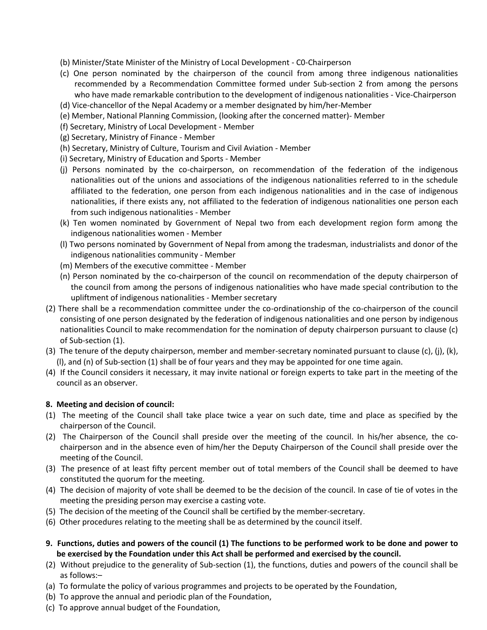- (b) Minister/State Minister of the Ministry of Local Development C0-Chairperson
- (c) One person nominated by the chairperson of the council from among three indigenous nationalities recommended by a Recommendation Committee formed under Sub-section 2 from among the persons who have made remarkable contribution to the development of indigenous nationalities - Vice-Chairperson
- (d) Vice-chancellor of the Nepal Academy or a member designated by him/her-Member
- (e) Member, National Planning Commission, (looking after the concerned matter)- Member
- (f) Secretary, Ministry of Local Development Member
- (g) Secretary, Ministry of Finance Member
- (h) Secretary, Ministry of Culture, Tourism and Civil Aviation Member
- (i) Secretary, Ministry of Education and Sports Member
- (j) Persons nominated by the co-chairperson, on recommendation of the federation of the indigenous nationalities out of the unions and associations of the indigenous nationalities referred to in the schedule affiliated to the federation, one person from each indigenous nationalities and in the case of indigenous nationalities, if there exists any, not affiliated to the federation of indigenous nationalities one person each from such indigenous nationalities - Member
- (k) Ten women nominated by Government of Nepal two from each development region form among the indigenous nationalities women - Member
- (l) Two persons nominated by Government of Nepal from among the tradesman, industrialists and donor of the indigenous nationalities community - Member
- (m) Members of the executive committee Member
- (n) Person nominated by the co-chairperson of the council on recommendation of the deputy chairperson of the council from among the persons of indigenous nationalities who have made special contribution to the upliftment of indigenous nationalities - Member secretary
- (2) There shall be a recommendation committee under the co-ordinationship of the co-chairperson of the council consisting of one person designated by the federation of indigenous nationalities and one person by indigenous nationalities Council to make recommendation for the nomination of deputy chairperson pursuant to clause (c) of Sub-section (1).
- (3) The tenure of the deputy chairperson, member and member-secretary nominated pursuant to clause (c), (j), (k), (l), and (n) of Sub-section (1) shall be of four years and they may be appointed for one time again.
- (4) If the Council considers it necessary, it may invite national or foreign experts to take part in the meeting of the council as an observer.

## **8. Meeting and decision of council:**

- (1) The meeting of the Council shall take place twice a year on such date, time and place as specified by the chairperson of the Council.
- (2) The Chairperson of the Council shall preside over the meeting of the council. In his/her absence, the cochairperson and in the absence even of him/her the Deputy Chairperson of the Council shall preside over the meeting of the Council.
- (3) The presence of at least fifty percent member out of total members of the Council shall be deemed to have constituted the quorum for the meeting.
- (4) The decision of majority of vote shall be deemed to be the decision of the council. In case of tie of votes in the meeting the presiding person may exercise a casting vote.
- (5) The decision of the meeting of the Council shall be certified by the member-secretary.
- (6) Other procedures relating to the meeting shall be as determined by the council itself.
- **9. Functions, duties and powers of the council (1) The functions to be performed work to be done and power to be exercised by the Foundation under this Act shall be performed and exercised by the council.**
- (2) Without prejudice to the generality of Sub-section (1), the functions, duties and powers of the council shall be as follows:–
- (a) To formulate the policy of various programmes and projects to be operated by the Foundation,
- (b) To approve the annual and periodic plan of the Foundation,
- (c) To approve annual budget of the Foundation,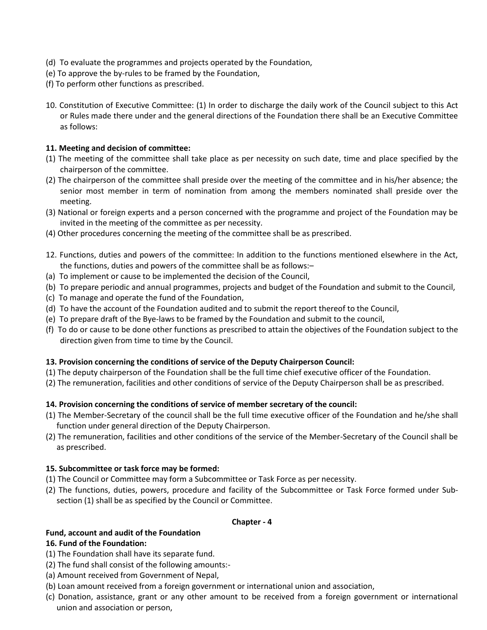- (d) To evaluate the programmes and projects operated by the Foundation,
- (e) To approve the by-rules to be framed by the Foundation,
- (f) To perform other functions as prescribed.
- 10. Constitution of Executive Committee: (1) In order to discharge the daily work of the Council subject to this Act or Rules made there under and the general directions of the Foundation there shall be an Executive Committee as follows:

## **11. Meeting and decision of committee:**

- (1) The meeting of the committee shall take place as per necessity on such date, time and place specified by the chairperson of the committee.
- (2) The chairperson of the committee shall preside over the meeting of the committee and in his/her absence; the senior most member in term of nomination from among the members nominated shall preside over the meeting.
- (3) National or foreign experts and a person concerned with the programme and project of the Foundation may be invited in the meeting of the committee as per necessity.
- (4) Other procedures concerning the meeting of the committee shall be as prescribed.
- 12. Functions, duties and powers of the committee: In addition to the functions mentioned elsewhere in the Act, the functions, duties and powers of the committee shall be as follows:–
- (a) To implement or cause to be implemented the decision of the Council,
- (b) To prepare periodic and annual programmes, projects and budget of the Foundation and submit to the Council,
- (c) To manage and operate the fund of the Foundation,
- (d) To have the account of the Foundation audited and to submit the report thereof to the Council,
- (e) To prepare draft of the Bye-laws to be framed by the Foundation and submit to the council,
- (f) To do or cause to be done other functions as prescribed to attain the objectives of the Foundation subject to the direction given from time to time by the Council.

## **13. Provision concerning the conditions of service of the Deputy Chairperson Council:**

- (1) The deputy chairperson of the Foundation shall be the full time chief executive officer of the Foundation.
- (2) The remuneration, facilities and other conditions of service of the Deputy Chairperson shall be as prescribed.

## **14. Provision concerning the conditions of service of member secretary of the council:**

- (1) The Member-Secretary of the council shall be the full time executive officer of the Foundation and he/she shall function under general direction of the Deputy Chairperson.
- (2) The remuneration, facilities and other conditions of the service of the Member-Secretary of the Council shall be as prescribed.

## **15. Subcommittee or task force may be formed:**

- (1) The Council or Committee may form a Subcommittee or Task Force as per necessity.
- (2) The functions, duties, powers, procedure and facility of the Subcommittee or Task Force formed under Subsection (1) shall be as specified by the Council or Committee.

## **Chapter - 4**

#### **Fund, account and audit of the Foundation 16. Fund of the Foundation:**

- (1) The Foundation shall have its separate fund.
- (2) The fund shall consist of the following amounts:-
- (a) Amount received from Government of Nepal,
- (b) Loan amount received from a foreign government or international union and association,
- (c) Donation, assistance, grant or any other amount to be received from a foreign government or international union and association or person,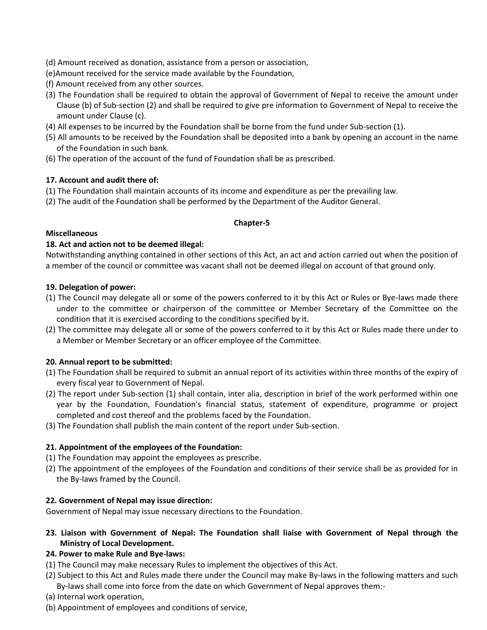- (d) Amount received as donation, assistance from a person or association,
- (e)Amount received for the service made available by the Foundation,
- (f) Amount received from any other sources.
- (3) The Foundation shall be required to obtain the approval of Government of Nepal to receive the amount under Clause (b) of Sub-section (2) and shall be required to give pre information to Government of Nepal to receive the amount under Clause (c).
- (4) All expenses to be incurred by the Foundation shall be borne from the fund under Sub-section (1).
- (5) All amounts to be received by the Foundation shall be deposited into a bank by opening an account in the name of the Foundation in such bank.
- (6) The operation of the account of the fund of Foundation shall be as prescribed.

## **17. Account and audit there of:**

- (1) The Foundation shall maintain accounts of its income and expenditure as per the prevailing law.
- (2) The audit of the Foundation shall be performed by the Department of the Auditor General.

## **Chapter-5**

## **Miscellaneous**

## **18. Act and action not to be deemed illegal:**

Notwithstanding anything contained in other sections of this Act, an act and action carried out when the position of a member of the council or committee was vacant shall not be deemed illegal on account of that ground only.

## **19. Delegation of power:**

- (1) The Council may delegate all or some of the powers conferred to it by this Act or Rules or Bye-laws made there under to the committee or chairperson of the committee or Member Secretary of the Committee on the condition that it is exercised according to the conditions specified by it.
- (2) The committee may delegate all or some of the powers conferred to it by this Act or Rules made there under to a Member or Member Secretary or an officer employee of the Committee.

## **20. Annual report to be submitted:**

- (1) The Foundation shall be required to submit an annual report of its activities within three months of the expiry of every fiscal year to Government of Nepal.
- (2) The report under Sub-section (1) shall contain, inter alia, description in brief of the work performed within one year by the Foundation, Foundation's financial status, statement of expenditure, programme or project completed and cost thereof and the problems faced by the Foundation.
- (3) The Foundation shall publish the main content of the report under Sub-section.

## **21. Appointment of the employees of the Foundation:**

- (1) The Foundation may appoint the employees as prescribe.
- (2) The appointment of the employees of the Foundation and conditions of their service shall be as provided for in the By-laws framed by the Council.

## **22. Government of Nepal may issue direction:**

Government of Nepal may issue necessary directions to the Foundation.

## **23. Liaison with Government of Nepal: The Foundation shall liaise with Government of Nepal through the Ministry of Local Development.**

## **24. Power to make Rule and Bye-laws:**

- (1) The Council may make necessary Rules to implement the objectives of this Act.
- (2) Subject to this Act and Rules made there under the Council may make By-laws in the following matters and such By-laws shall come into force from the date on which Government of Nepal approves them:-
- (a) Internal work operation,
- (b) Appointment of employees and conditions of service,